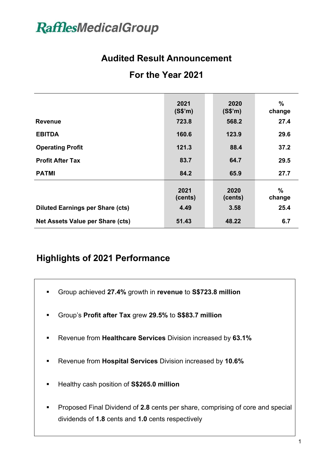# **RafflesMedicalGroup**

# **Audited Result Announcement**

# **For the Year 2021**

|                                         | 2021<br>(S\$'m) | 2020<br>(S\$'m) | $\%$<br>change |
|-----------------------------------------|-----------------|-----------------|----------------|
| <b>Revenue</b>                          | 723.8           | 568.2           | 27.4           |
| <b>EBITDA</b>                           | 160.6           | 123.9           | 29.6           |
| <b>Operating Profit</b>                 | 121.3           | 88.4            | 37.2           |
| <b>Profit After Tax</b>                 | 83.7            | 64.7            | 29.5           |
| <b>PATMI</b>                            | 84.2            | 65.9            | 27.7           |
|                                         | 2021<br>(cents) | 2020<br>(cents) | $\%$<br>change |
| <b>Diluted Earnings per Share (cts)</b> | 4.49            | 3.58            | 25.4           |
| <b>Net Assets Value per Share (cts)</b> | 51.43           | 48.22           | 6.7            |

# **Highlights of 2021 Performance**

- § Group achieved **27.4%** growth in **revenue** to **S\$723.8 million**
- § Group's **Profit after Tax** grew **29.5%** to **S\$83.7 million**
- § Revenue from **Healthcare Services** Division increased by **63.1%**
- § Revenue from **Hospital Services** Division increased by **10.6%**
- § Healthy cash position of **S\$265.0 million**

§

■ Proposed Final Dividend of 2.8 cents per share, comprising of core and special dividends of **1.8** cents and **1.0** cents respectively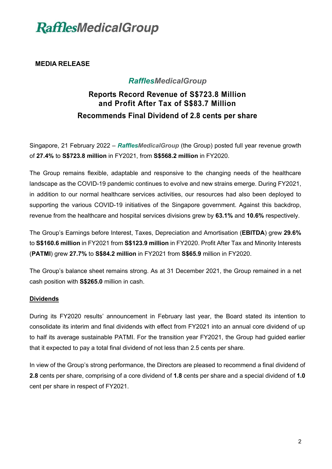

### **MEDIA RELEASE**

## *RafflesMedicalGroup*

## **Reports Record Revenue of S\$723.8 Million and Profit After Tax of S\$83.7 Million Recommends Final Dividend of 2.8 cents per share**

Singapore, 21 February 2022 – *RafflesMedicalGroup* (the Group) posted full year revenue growth of **27.4%** to **S\$723.8 million** in FY2021, from **S\$568.2 million** in FY2020.

The Group remains flexible, adaptable and responsive to the changing needs of the healthcare landscape as the COVID-19 pandemic continues to evolve and new strains emerge. During FY2021, in addition to our normal healthcare services activities, our resources had also been deployed to supporting the various COVID-19 initiatives of the Singapore government. Against this backdrop, revenue from the healthcare and hospital services divisions grew by **63.1%** and **10.6%** respectively.

The Group's Earnings before Interest, Taxes, Depreciation and Amortisation (**EBITDA**) grew **29.6%** to **S\$160.6 million** in FY2021 from **S\$123.9 million** in FY2020. Profit After Tax and Minority Interests (**PATMI**) grew **27.7%** to **S\$84.2 million** in FY2021 from **S\$65.9** million in FY2020.

The Group's balance sheet remains strong. As at 31 December 2021, the Group remained in a net cash position with **S\$265.0** million in cash.

#### **Dividends**

During its FY2020 results' announcement in February last year, the Board stated its intention to consolidate its interim and final dividends with effect from FY2021 into an annual core dividend of up to half its average sustainable PATMI. For the transition year FY2021, the Group had guided earlier that it expected to pay a total final dividend of not less than 2.5 cents per share.

In view of the Group's strong performance, the Directors are pleased to recommend a final dividend of **2.8** cents per share, comprising of a core dividend of **1.8** cents per share and a special dividend of **1.0** cent per share in respect of FY2021.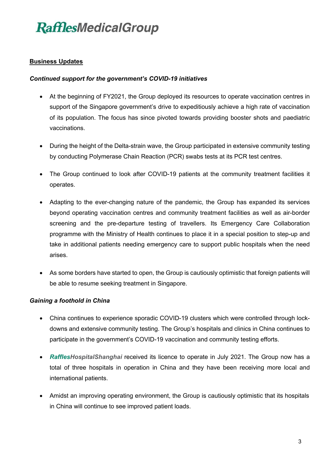## **Business Updates**

### *Continued support for the government's COVID-19 initiatives*

- At the beginning of FY2021, the Group deployed its resources to operate vaccination centres in support of the Singapore government's drive to expeditiously achieve a high rate of vaccination of its population. The focus has since pivoted towards providing booster shots and paediatric vaccinations.
- During the height of the Delta-strain wave, the Group participated in extensive community testing by conducting Polymerase Chain Reaction (PCR) swabs tests at its PCR test centres.
- The Group continued to look after COVID-19 patients at the community treatment facilities it operates.
- Adapting to the ever-changing nature of the pandemic, the Group has expanded its services beyond operating vaccination centres and community treatment facilities as well as air-border screening and the pre-departure testing of travellers. Its Emergency Care Collaboration programme with the Ministry of Health continues to place it in a special position to step-up and take in additional patients needing emergency care to support public hospitals when the need arises.
- As some borders have started to open, the Group is cautiously optimistic that foreign patients will be able to resume seeking treatment in Singapore.

## *Gaining a foothold in China*

- China continues to experience sporadic COVID-19 clusters which were controlled through lockdowns and extensive community testing. The Group's hospitals and clinics in China continues to participate in the government's COVID-19 vaccination and community testing efforts.
- *RafflesHospitalShanghai* received its licence to operate in July 2021. The Group now has a total of three hospitals in operation in China and they have been receiving more local and international patients.
- Amidst an improving operating environment, the Group is cautiously optimistic that its hospitals in China will continue to see improved patient loads.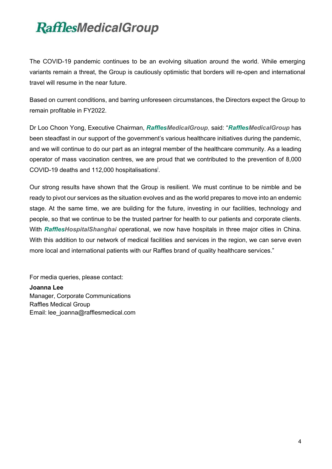# **RafflesMedicalGroup**

The COVID-19 pandemic continues to be an evolving situation around the world. While emerging variants remain a threat, the Group is cautiously optimistic that borders will re-open and international travel will resume in the near future.

Based on current conditions, and barring unforeseen circumstances, the Directors expect the Group to remain profitable in FY2022.

Dr Loo Choon Yong, Executive Chairman, *RafflesMedicalGroup*, said: "*RafflesMedicalGroup* has been steadfast in our support of the government's various healthcare initiatives during the pandemic, and we will continue to do our part as an integral member of the healthcare community. As a leading operator of mass vaccination centres, we are proud that we contributed to the prevention of 8,000 COVID-19 deaths and 112,000 hospitalisations<sup>i</sup>.

Our strong results have shown that the Group is resilient. We must continue to be nimble and be ready to pivot our services as the situation evolves and as the world prepares to move into an endemic stage. At the same time, we are building for the future, investing in our facilities, technology and people, so that we continue to be the trusted partner for health to our patients and corporate clients. With *RafflesHospitalShanghai* operational, we now have hospitals in three major cities in China. With this addition to our network of medical facilities and services in the region, we can serve even more local and international patients with our Raffles brand of quality healthcare services."

For media queries, please contact:

**Joanna Lee** Manager, Corporate Communications Raffles Medical Group Email: lee\_joanna@rafflesmedical.com